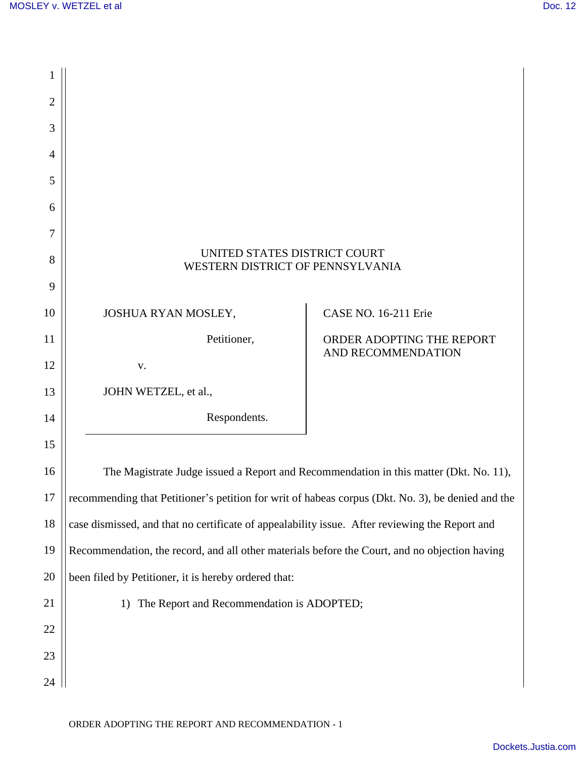| $\overline{2}$ |                                                                                                   |                             |
|----------------|---------------------------------------------------------------------------------------------------|-----------------------------|
| 3              |                                                                                                   |                             |
| $\overline{4}$ |                                                                                                   |                             |
| 5              |                                                                                                   |                             |
| 6              |                                                                                                   |                             |
| 7              |                                                                                                   |                             |
| 8              | UNITED STATES DISTRICT COURT<br>WESTERN DISTRICT OF PENNSYLVANIA                                  |                             |
| 9              |                                                                                                   |                             |
| 10             | JOSHUA RYAN MOSLEY,                                                                               | <b>CASE NO. 16-211 Erie</b> |
| 11             | Petitioner,                                                                                       | ORDER ADOPTING THE REPORT   |
| 12             | V.                                                                                                | AND RECOMMENDATION          |
| 13             | JOHN WETZEL, et al.,                                                                              |                             |
| 14             | Respondents.                                                                                      |                             |
| 15             |                                                                                                   |                             |
| 16             | The Magistrate Judge issued a Report and Recommendation in this matter (Dkt. No. 11),             |                             |
| 17             | recommending that Petitioner's petition for writ of habeas corpus (Dkt. No. 3), be denied and the |                             |
| 18             | case dismissed, and that no certificate of appealability issue. After reviewing the Report and    |                             |
| 19             | Recommendation, the record, and all other materials before the Court, and no objection having     |                             |
| 20             | been filed by Petitioner, it is hereby ordered that:                                              |                             |
| 21             | The Report and Recommendation is ADOPTED;<br>1)                                                   |                             |
| 22             |                                                                                                   |                             |
| 23             |                                                                                                   |                             |
| 24             |                                                                                                   |                             |
|                |                                                                                                   |                             |